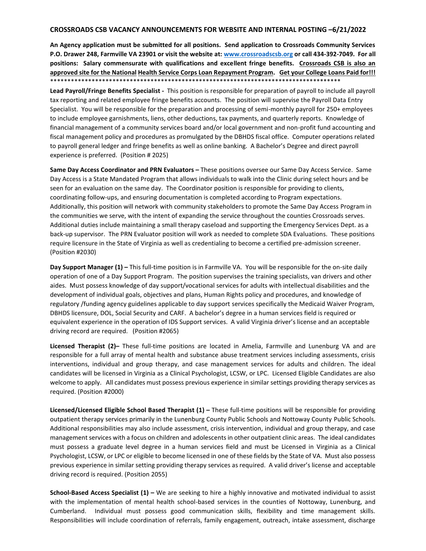## **CROSSROADS CSB VACANCY ANNOUNCEMENTS FOR WEBSITE AND INTERNAL POSTING –6/21/2022**

**An Agency application must be submitted for all positions. Send application to Crossroads Community Services P.O. Drawer 248, Farmville VA 23901 or visit the website at: [www.crossroadscsb.org](http://www.crossroadscsb.org/) or call 434-392-7049. For all positions: Salary commensurate with qualifications and excellent fringe benefits. Crossroads CSB is also an approved site for the National Health Service Corps Loan Repayment Program. Get your College Loans Paid for!!!**  \*\*\*\*\*\*\*\*\*\*\*\*\*\*\*\*\*\*\*\*\*\*\*\*\*\*\*\*\*\*\*\*\*\*\*\*\*\*\*\*\*\*\*\*\*\*\*\*\*\*\*\*\*\*\*\*\*\*\*\*\*\*\*\*\*\*\*\*\*\*\*\*\*\*\*\*\*\*\*\*\*\*\*\*

**Lead Payroll/Fringe Benefits Specialist -** This position is responsible for preparation of payroll to include all payroll tax reporting and related employee fringe benefits accounts. The position will supervise the Payroll Data Entry Specialist. You will be responsible for the preparation and processing of semi-monthly payroll for 250+ employees to include employee garnishments, liens, other deductions, tax payments, and quarterly reports. Knowledge of financial management of a community services board and/or local government and non-profit fund accounting and fiscal management policy and procedures as promulgated by the DBHDS fiscal office. Computer operations related to payroll general ledger and fringe benefits as well as online banking. A Bachelor's Degree and direct payroll experience is preferred. (Position # 2025)

**Same Day Access Coordinator and PRN Evaluators –** These positions oversee our Same Day Access Service. Same Day Access is a State Mandated Program that allows individuals to walk into the Clinic during select hours and be seen for an evaluation on the same day. The Coordinator position is responsible for providing to clients, coordinating follow-ups, and ensuring documentation is completed according to Program expectations. Additionally, this position will network with community stakeholders to promote the Same Day Access Program in the communities we serve, with the intent of expanding the service throughout the counties Crossroads serves. Additional duties include maintaining a small therapy caseload and supporting the Emergency Services Dept. as a back-up supervisor. The PRN Evaluator position will work as needed to complete SDA Evaluations. These positions require licensure in the State of Virginia as well as credentialing to become a certified pre-admission screener. (Position #2030)

**Day Support Manager (1) –** This full-time position is in Farmville VA. You will be responsible for the on-site daily operation of one of a Day Support Program. The position supervises the training specialists, van drivers and other aides. Must possess knowledge of day support/vocational services for adults with intellectual disabilities and the development of individual goals, objectives and plans, Human Rights policy and procedures, and knowledge of regulatory /funding agency guidelines applicable to day support services specifically the Medicaid Waiver Program, DBHDS licensure, DOL, Social Security and CARF. A bachelor's degree in a human services field is required or equivalent experience in the operation of IDS Support services. A valid Virginia driver's license and an acceptable driving record are required. (Position #2065)

**Licensed Therapist (2)–** These full-time positions are located in Amelia, Farmville and Lunenburg VA and are responsible for a full array of mental health and substance abuse treatment services including assessments, crisis interventions, individual and group therapy, and case management services for adults and children. The ideal candidates will be licensed in Virginia as a Clinical Psychologist, LCSW, or LPC. Licensed Eligible Candidates are also welcome to apply. All candidates must possess previous experience in similar settings providing therapy services as required. (Position #2000)

**Licensed/Licensed Eligible School Based Therapist (1) –** These full-time positions will be responsible for providing outpatient therapy services primarily in the Lunenburg County Public Schools and Nottoway County Public Schools. Additional responsibilities may also include assessment, crisis intervention, individual and group therapy, and case management services with a focus on children and adolescents in other outpatient clinic areas. The ideal candidates must possess a graduate level degree in a human services field and must be Licensed in Virginia as a Clinical Psychologist, LCSW, or LPC or eligible to become licensed in one of these fields by the State of VA. Must also possess previous experience in similar setting providing therapy services as required. A valid driver's license and acceptable driving record is required. (Position 2055)

**School-Based Access Specialist (1) –** We are seeking to hire a highly innovative and motivated individual to assist with the implementation of mental health school-based services in the counties of Nottoway, Lunenburg, and Cumberland. Individual must possess good communication skills, flexibility and time management skills. Responsibilities will include coordination of referrals, family engagement, outreach, intake assessment, discharge